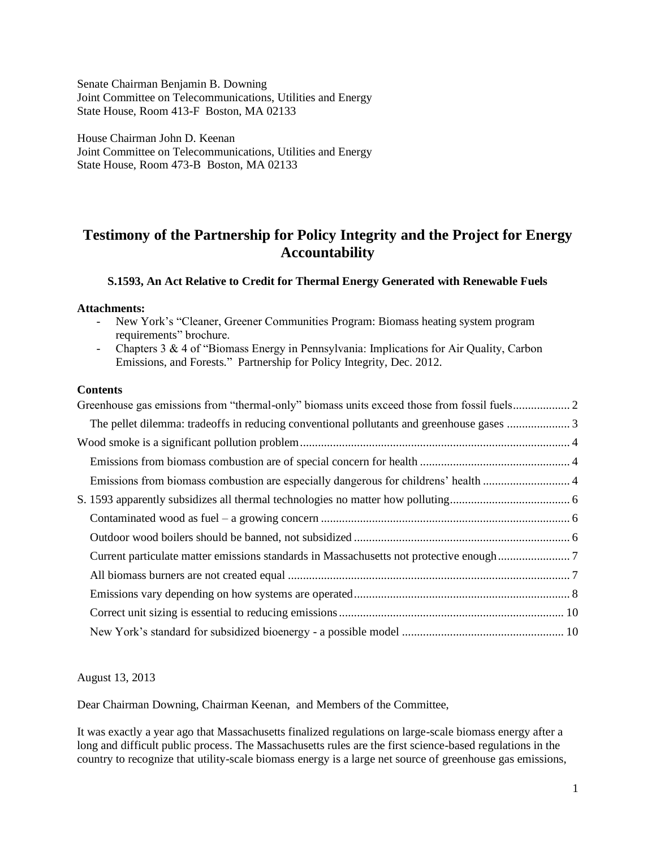Senate Chairman Benjamin B. Downing Joint Committee on Telecommunications, Utilities and Energy State House, Room 413-F Boston, MA 02133

House Chairman John D. Keenan Joint Committee on Telecommunications, Utilities and Energy State House, Room 473-B Boston, MA 02133

# **Testimony of the Partnership for Policy Integrity and the Project for Energy Accountability**

## **S.1593, An Act Relative to Credit for Thermal Energy Generated with Renewable Fuels**

#### **Attachments:**

- New York's "Cleaner, Greener Communities Program: Biomass heating system program requirements" brochure.
- Chapters 3 & 4 of "Biomass Energy in Pennsylvania: Implications for Air Quality, Carbon Emissions, and Forests." Partnership for Policy Integrity, Dec. 2012.

## **Contents**

| Current particulate matter emissions standards in Massachusetts not protective enough7 |  |
|----------------------------------------------------------------------------------------|--|
|                                                                                        |  |
|                                                                                        |  |
|                                                                                        |  |
|                                                                                        |  |
|                                                                                        |  |

August 13, 2013

Dear Chairman Downing, Chairman Keenan, and Members of the Committee,

It was exactly a year ago that Massachusetts finalized regulations on large-scale biomass energy after a long and difficult public process. The Massachusetts rules are the first science-based regulations in the country to recognize that utility-scale biomass energy is a large net source of greenhouse gas emissions,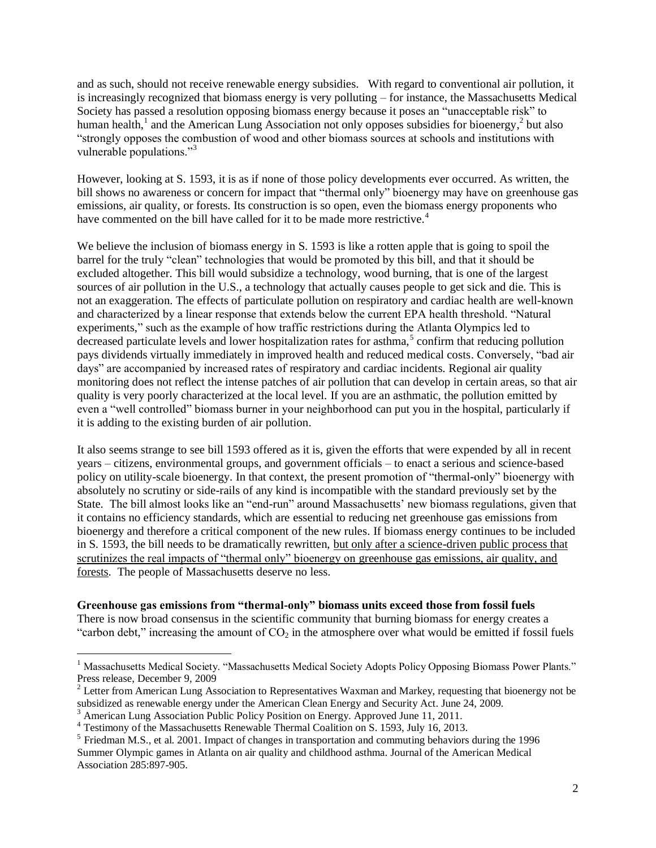and as such, should not receive renewable energy subsidies. With regard to conventional air pollution, it is increasingly recognized that biomass energy is very polluting – for instance, the Massachusetts Medical Society has passed a resolution opposing biomass energy because it poses an "unacceptable risk" to human health,<sup>1</sup> and the American Lung Association not only opposes subsidies for bioenergy,<sup>2</sup> but also "strongly opposes the combustion of wood and other biomass sources at schools and institutions with vulnerable populations."<sup>3</sup>

However, looking at S. 1593, it is as if none of those policy developments ever occurred. As written, the bill shows no awareness or concern for impact that "thermal only" bioenergy may have on greenhouse gas emissions, air quality, or forests. Its construction is so open, even the biomass energy proponents who have commented on the bill have called for it to be made more restrictive.<sup>4</sup>

We believe the inclusion of biomass energy in S. 1593 is like a rotten apple that is going to spoil the barrel for the truly "clean" technologies that would be promoted by this bill, and that it should be excluded altogether. This bill would subsidize a technology, wood burning, that is one of the largest sources of air pollution in the U.S., a technology that actually causes people to get sick and die. This is not an exaggeration. The effects of particulate pollution on respiratory and cardiac health are well-known and characterized by a linear response that extends below the current EPA health threshold. "Natural experiments," such as the example of how traffic restrictions during the Atlanta Olympics led to decreased particulate levels and lower hospitalization rates for asthma,<sup>5</sup> confirm that reducing pollution pays dividends virtually immediately in improved health and reduced medical costs. Conversely, "bad air days" are accompanied by increased rates of respiratory and cardiac incidents. Regional air quality monitoring does not reflect the intense patches of air pollution that can develop in certain areas, so that air quality is very poorly characterized at the local level. If you are an asthmatic, the pollution emitted by even a "well controlled" biomass burner in your neighborhood can put you in the hospital, particularly if it is adding to the existing burden of air pollution.

It also seems strange to see bill 1593 offered as it is, given the efforts that were expended by all in recent years – citizens, environmental groups, and government officials – to enact a serious and science-based policy on utility-scale bioenergy. In that context, the present promotion of "thermal-only" bioenergy with absolutely no scrutiny or side-rails of any kind is incompatible with the standard previously set by the State. The bill almost looks like an "end-run" around Massachusetts' new biomass regulations, given that it contains no efficiency standards, which are essential to reducing net greenhouse gas emissions from bioenergy and therefore a critical component of the new rules. If biomass energy continues to be included in S. 1593, the bill needs to be dramatically rewritten, but only after a science-driven public process that scrutinizes the real impacts of "thermal only" bioenergy on greenhouse gas emissions, air quality, and forests. The people of Massachusetts deserve no less.

# <span id="page-1-0"></span>**Greenhouse gas emissions from "thermal-only" biomass units exceed those from fossil fuels**

There is now broad consensus in the scientific community that burning biomass for energy creates a "carbon debt," increasing the amount of  $CO<sub>2</sub>$  in the atmosphere over what would be emitted if fossil fuels

 $\overline{a}$ 

<sup>&</sup>lt;sup>1</sup> Massachusetts Medical Society. "Massachusetts Medical Society Adopts Policy Opposing Biomass Power Plants." Press release, December 9, 2009

 $2^{2}$  Letter from American Lung Association to Representatives Waxman and Markey, requesting that bioenergy not be subsidized as renewable energy under the American Clean Energy and Security Act. June 24, 2009.

<sup>&</sup>lt;sup>3</sup> American Lung Association Public Policy Position on Energy. Approved June 11, 2011.

<sup>&</sup>lt;sup>4</sup> Testimony of the Massachusetts Renewable Thermal Coalition on S. 1593, July 16, 2013.

 $<sup>5</sup>$  Friedman M.S., et al. 2001. Impact of changes in transportation and commuting behaviors during the 1996</sup> Summer Olympic games in Atlanta on air quality and childhood asthma. Journal of the American Medical Association 285:897-905.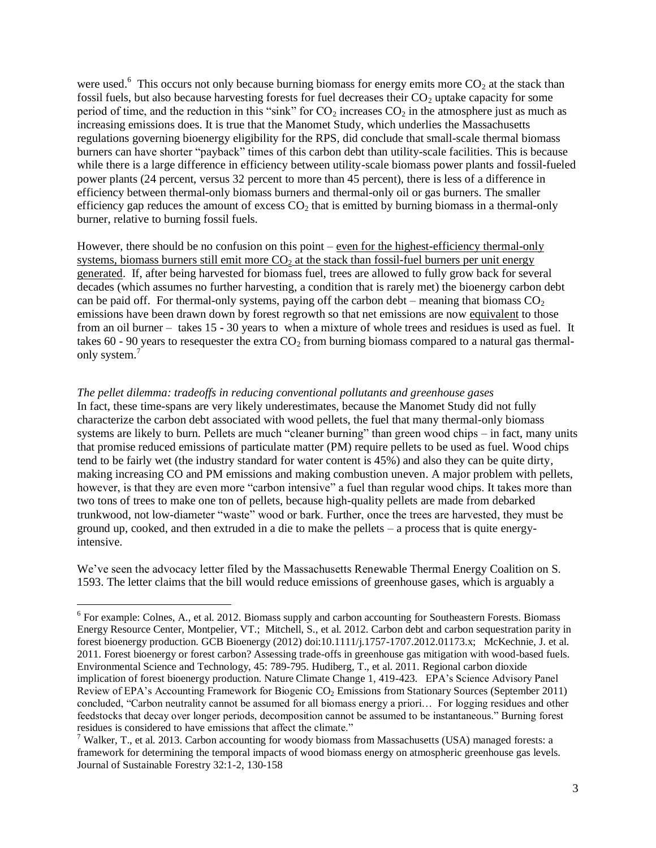were used.<sup>6</sup> This occurs not only because burning biomass for energy emits more  $CO<sub>2</sub>$  at the stack than fossil fuels, but also because harvesting forests for fuel decreases their  $CO<sub>2</sub>$  uptake capacity for some period of time, and the reduction in this "sink" for  $CO_2$  increases  $CO_2$  in the atmosphere just as much as increasing emissions does. It is true that the Manomet Study, which underlies the Massachusetts regulations governing bioenergy eligibility for the RPS, did conclude that small-scale thermal biomass burners can have shorter "payback" times of this carbon debt than utility-scale facilities. This is because while there is a large difference in efficiency between utility-scale biomass power plants and fossil-fueled power plants (24 percent, versus 32 percent to more than 45 percent), there is less of a difference in efficiency between thermal-only biomass burners and thermal-only oil or gas burners. The smaller efficiency gap reduces the amount of excess  $CO<sub>2</sub>$  that is emitted by burning biomass in a thermal-only burner, relative to burning fossil fuels.

However, there should be no confusion on this point – even for the highest-efficiency thermal-only systems, biomass burners still emit more  $CO<sub>2</sub>$  at the stack than fossil-fuel burners per unit energy generated. If, after being harvested for biomass fuel, trees are allowed to fully grow back for several decades (which assumes no further harvesting, a condition that is rarely met) the bioenergy carbon debt can be paid off. For thermal-only systems, paying off the carbon debt – meaning that biomass  $CO<sub>2</sub>$ emissions have been drawn down by forest regrowth so that net emissions are now equivalent to those from an oil burner – takes 15 - 30 years to when a mixture of whole trees and residues is used as fuel. It takes 60 - 90 years to resequester the extra  $CO<sub>2</sub>$  from burning biomass compared to a natural gas thermalonly system.<sup>7</sup>

<span id="page-2-0"></span>*The pellet dilemma: tradeoffs in reducing conventional pollutants and greenhouse gases* In fact, these time-spans are very likely underestimates, because the Manomet Study did not fully characterize the carbon debt associated with wood pellets, the fuel that many thermal-only biomass systems are likely to burn. Pellets are much "cleaner burning" than green wood chips – in fact, many units that promise reduced emissions of particulate matter (PM) require pellets to be used as fuel. Wood chips tend to be fairly wet (the industry standard for water content is 45%) and also they can be quite dirty, making increasing CO and PM emissions and making combustion uneven. A major problem with pellets, however, is that they are even more "carbon intensive" a fuel than regular wood chips. It takes more than two tons of trees to make one ton of pellets, because high-quality pellets are made from debarked trunkwood, not low-diameter "waste" wood or bark. Further, once the trees are harvested, they must be ground up, cooked, and then extruded in a die to make the pellets – a process that is quite energyintensive.

We've seen the advocacy letter filed by the Massachusetts Renewable Thermal Energy Coalition on S. 1593. The letter claims that the bill would reduce emissions of greenhouse gases, which is arguably a

 6 For example: Colnes, A., et al. 2012. Biomass supply and carbon accounting for Southeastern Forests. Biomass Energy Resource Center, Montpelier, VT.; Mitchell, S., et al. 2012. Carbon debt and carbon sequestration parity in forest bioenergy production. GCB Bioenergy (2012) doi:10.1111/j.1757-1707.2012.01173.x; McKechnie, J. et al. 2011. Forest bioenergy or forest carbon? Assessing trade-offs in greenhouse gas mitigation with wood-based fuels. Environmental Science and Technology, 45: 789-795. Hudiberg, T., et al. 2011. Regional carbon dioxide implication of forest bioenergy production. Nature Climate Change 1, 419-423. EPA's Science Advisory Panel Review of EPA's Accounting Framework for Biogenic CO<sub>2</sub> Emissions from Stationary Sources (September 2011) concluded, "Carbon neutrality cannot be assumed for all biomass energy a priori… For logging residues and other feedstocks that decay over longer periods, decomposition cannot be assumed to be instantaneous." Burning forest residues is considered to have emissions that affect the climate."

<sup>&</sup>lt;sup>7</sup> Walker, T., et al. 2013. Carbon accounting for woody biomass from Massachusetts (USA) managed forests: a framework for determining the temporal impacts of wood biomass energy on atmospheric greenhouse gas levels. Journal of Sustainable Forestry 32:1-2, 130-158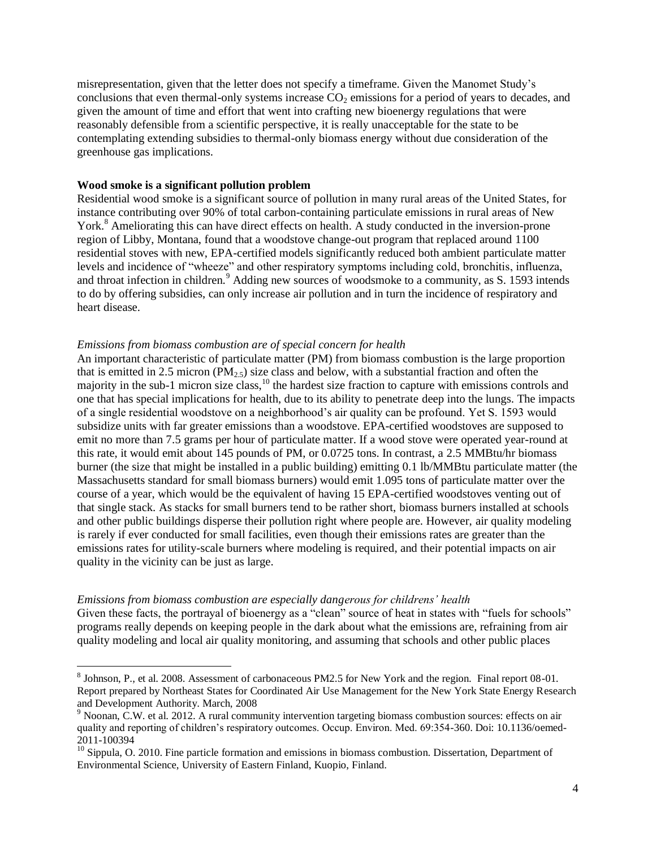misrepresentation, given that the letter does not specify a timeframe. Given the Manomet Study's conclusions that even thermal-only systems increase  $CO<sub>2</sub>$  emissions for a period of years to decades, and given the amount of time and effort that went into crafting new bioenergy regulations that were reasonably defensible from a scientific perspective, it is really unacceptable for the state to be contemplating extending subsidies to thermal-only biomass energy without due consideration of the greenhouse gas implications.

## <span id="page-3-0"></span>**Wood smoke is a significant pollution problem**

Residential wood smoke is a significant source of pollution in many rural areas of the United States, for instance contributing over 90% of total carbon-containing particulate emissions in rural areas of New York.<sup>8</sup> Ameliorating this can have direct effects on health. A study conducted in the inversion-prone region of Libby, Montana, found that a woodstove change-out program that replaced around 1100 residential stoves with new, EPA-certified models significantly reduced both ambient particulate matter levels and incidence of "wheeze" and other respiratory symptoms including cold, bronchitis, influenza, and throat infection in children.<sup>9</sup> Adding new sources of woodsmoke to a community, as S. 1593 intends to do by offering subsidies, can only increase air pollution and in turn the incidence of respiratory and heart disease.

#### <span id="page-3-1"></span>*Emissions from biomass combustion are of special concern for health*

An important characteristic of particulate matter (PM) from biomass combustion is the large proportion that is emitted in 2.5 micron (PM<sub>2.5</sub>) size class and below, with a substantial fraction and often the majority in the sub-1 micron size class,<sup>10</sup> the hardest size fraction to capture with emissions controls and one that has special implications for health, due to its ability to penetrate deep into the lungs. The impacts of a single residential woodstove on a neighborhood's air quality can be profound. Yet S. 1593 would subsidize units with far greater emissions than a woodstove. EPA-certified woodstoves are supposed to emit no more than 7.5 grams per hour of particulate matter. If a wood stove were operated year-round at this rate, it would emit about 145 pounds of PM, or 0.0725 tons. In contrast, a 2.5 MMBtu/hr biomass burner (the size that might be installed in a public building) emitting 0.1 lb/MMBtu particulate matter (the Massachusetts standard for small biomass burners) would emit 1.095 tons of particulate matter over the course of a year, which would be the equivalent of having 15 EPA-certified woodstoves venting out of that single stack. As stacks for small burners tend to be rather short, biomass burners installed at schools and other public buildings disperse their pollution right where people are. However, air quality modeling is rarely if ever conducted for small facilities, even though their emissions rates are greater than the emissions rates for utility-scale burners where modeling is required, and their potential impacts on air quality in the vicinity can be just as large.

<span id="page-3-2"></span>*Emissions from biomass combustion are especially dangerous for childrens' health*  Given these facts, the portrayal of bioenergy as a "clean" source of heat in states with "fuels for schools" programs really depends on keeping people in the dark about what the emissions are, refraining from air quality modeling and local air quality monitoring, and assuming that schools and other public places

 8 Johnson, P., et al. 2008. Assessment of carbonaceous PM2.5 for New York and the region. Final report 08-01. Report prepared by Northeast States for Coordinated Air Use Management for the New York State Energy Research and Development Authority. March, 2008

<sup>&</sup>lt;sup>9</sup> Noonan, C.W. et al. 2012. A rural community intervention targeting biomass combustion sources: effects on air quality and reporting of children's respiratory outcomes. Occup. Environ. Med. 69:354-360. Doi: 10.1136/oemed-2011-100394

<sup>&</sup>lt;sup>10</sup> Sippula, O. 2010. Fine particle formation and emissions in biomass combustion. Dissertation, Department of Environmental Science, University of Eastern Finland, Kuopio, Finland.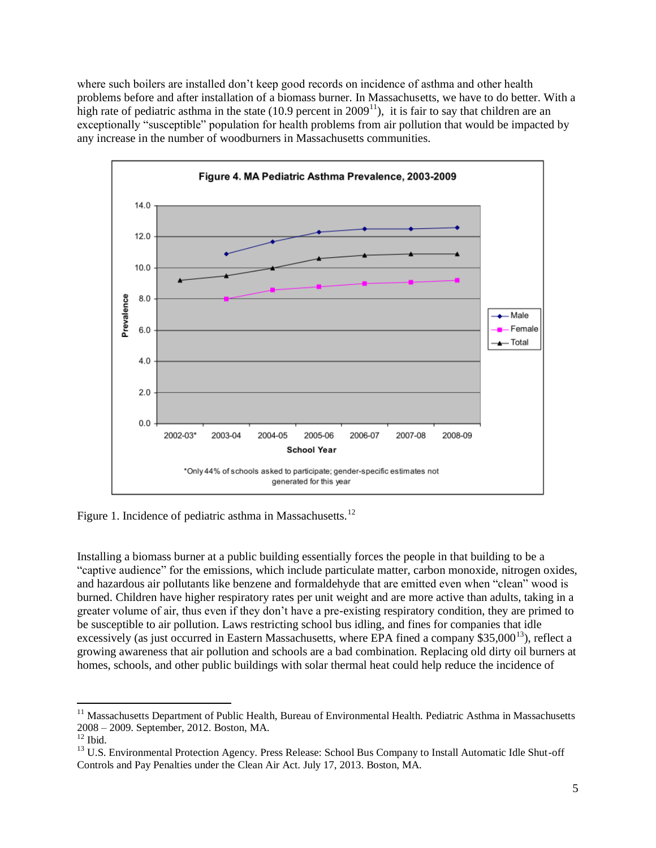where such boilers are installed don't keep good records on incidence of asthma and other health problems before and after installation of a biomass burner. In Massachusetts, we have to do better. With a high rate of pediatric asthma in the state (10.9 percent in  $2009<sup>11</sup>$ ), it is fair to say that children are an exceptionally "susceptible" population for health problems from air pollution that would be impacted by any increase in the number of woodburners in Massachusetts communities.



Figure 1. Incidence of pediatric asthma in Massachusetts.<sup>12</sup>

Installing a biomass burner at a public building essentially forces the people in that building to be a "captive audience" for the emissions, which include particulate matter, carbon monoxide, nitrogen oxides, and hazardous air pollutants like benzene and formaldehyde that are emitted even when "clean" wood is burned. Children have higher respiratory rates per unit weight and are more active than adults, taking in a greater volume of air, thus even if they don't have a pre-existing respiratory condition, they are primed to be susceptible to air pollution. Laws restricting school bus idling, and fines for companies that idle excessively (as just occurred in Eastern Massachusetts, where EPA fined a company \$35,000<sup>13</sup>), reflect a growing awareness that air pollution and schools are a bad combination. Replacing old dirty oil burners at homes, schools, and other public buildings with solar thermal heat could help reduce the incidence of

 $\overline{a}$ 

<sup>&</sup>lt;sup>11</sup> Massachusetts Department of Public Health, Bureau of Environmental Health. Pediatric Asthma in Massachusetts 2008 – 2009. September, 2012. Boston, MA.

 $12$  Ibid.

<sup>&</sup>lt;sup>13</sup> U.S. Environmental Protection Agency. Press Release: School Bus Company to Install Automatic Idle Shut-off Controls and Pay Penalties under the Clean Air Act. July 17, 2013. Boston, MA.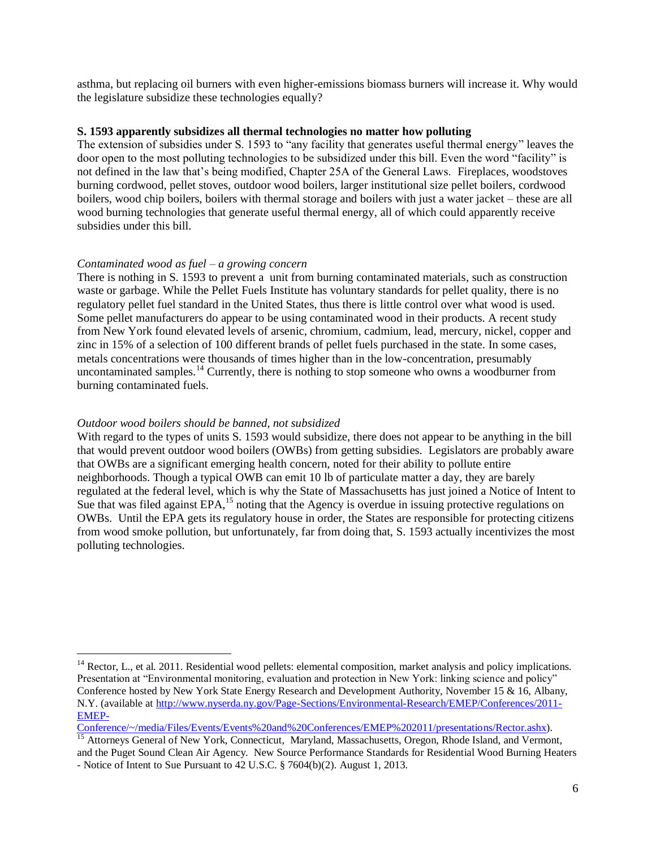asthma, but replacing oil burners with even higher-emissions biomass burners will increase it. Why would the legislature subsidize these technologies equally?

### <span id="page-5-0"></span>**S. 1593 apparently subsidizes all thermal technologies no matter how polluting**

The extension of subsidies under S. 1593 to "any facility that generates useful thermal energy" leaves the door open to the most polluting technologies to be subsidized under this bill. Even the word "facility" is not defined in the law that's being modified, Chapter 25A of the General Laws. Fireplaces, woodstoves burning cordwood, pellet stoves, outdoor wood boilers, larger institutional size pellet boilers, cordwood boilers, wood chip boilers, boilers with thermal storage and boilers with just a water jacket – these are all wood burning technologies that generate useful thermal energy, all of which could apparently receive subsidies under this bill.

# <span id="page-5-1"></span>*Contaminated wood as fuel – a growing concern*

There is nothing in S. 1593 to prevent a unit from burning contaminated materials, such as construction waste or garbage. While the Pellet Fuels Institute has voluntary standards for pellet quality, there is no regulatory pellet fuel standard in the United States, thus there is little control over what wood is used. Some pellet manufacturers do appear to be using contaminated wood in their products. A recent study from New York found elevated levels of arsenic, chromium, cadmium, lead, mercury, nickel, copper and zinc in 15% of a selection of 100 different brands of pellet fuels purchased in the state. In some cases, metals concentrations were thousands of times higher than in the low-concentration, presumably uncontaminated samples.<sup>14</sup> Currently, there is nothing to stop someone who owns a woodburner from burning contaminated fuels.

## <span id="page-5-2"></span>*Outdoor wood boilers should be banned, not subsidized*

 $\overline{a}$ 

With regard to the types of units S. 1593 would subsidize, there does not appear to be anything in the bill that would prevent outdoor wood boilers (OWBs) from getting subsidies. Legislators are probably aware that OWBs are a significant emerging health concern, noted for their ability to pollute entire neighborhoods. Though a typical OWB can emit 10 lb of particulate matter a day, they are barely regulated at the federal level, which is why the State of Massachusetts has just joined a Notice of Intent to Sue that was filed against EPA,<sup>15</sup> noting that the Agency is overdue in issuing protective regulations on OWBs. Until the EPA gets its regulatory house in order, the States are responsible for protecting citizens from wood smoke pollution, but unfortunately, far from doing that, S. 1593 actually incentivizes the most polluting technologies.

[Conference/~/media/Files/Events/Events%20and%20Conferences/EMEP%202011/presentations/Rector.ashx\)](http://www.nyserda.ny.gov/Page-Sections/Environmental-Research/EMEP/Conferences/2011-EMEP-Conference/~/media/Files/Events/Events%20and%20Conferences/EMEP%202011/presentations/Rector.ashx).

 $14$  Rector, L., et al. 2011. Residential wood pellets: elemental composition, market analysis and policy implications. Presentation at "Environmental monitoring, evaluation and protection in New York: linking science and policy" Conference hosted by New York State Energy Research and Development Authority, November 15 & 16, Albany, N.Y. (available at [http://www.nyserda.ny.gov/Page-Sections/Environmental-Research/EMEP/Conferences/2011-](http://www.nyserda.ny.gov/Page-Sections/Environmental-Research/EMEP/Conferences/2011-EMEP-Conference/~/media/Files/Events/Events%20and%20Conferences/EMEP%202011/presentations/Rector.ashx) [EMEP-](http://www.nyserda.ny.gov/Page-Sections/Environmental-Research/EMEP/Conferences/2011-EMEP-Conference/~/media/Files/Events/Events%20and%20Conferences/EMEP%202011/presentations/Rector.ashx)

<sup>&</sup>lt;sup>15</sup> Attorneys General of New York, Connecticut, Maryland, Massachusetts, Oregon, Rhode Island, and Vermont, and the Puget Sound Clean Air Agency. New Source Performance Standards for Residential Wood Burning Heaters

<sup>-</sup> Notice of Intent to Sue Pursuant to 42 U.S.C. § 7604(b)(2). August 1, 2013.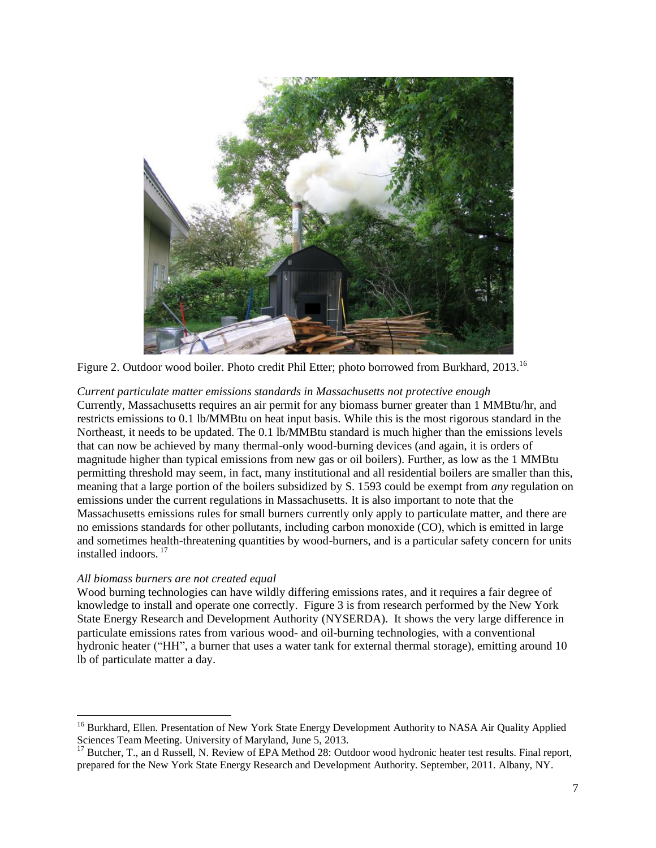

Figure 2. Outdoor wood boiler. Photo credit Phil Etter; photo borrowed from Burkhard, 2013.<sup>16</sup>

## <span id="page-6-0"></span>*Current particulate matter emissions standards in Massachusetts not protective enough*

Currently, Massachusetts requires an air permit for any biomass burner greater than 1 MMBtu/hr, and restricts emissions to 0.1 lb/MMBtu on heat input basis. While this is the most rigorous standard in the Northeast, it needs to be updated. The 0.1 lb/MMBtu standard is much higher than the emissions levels that can now be achieved by many thermal-only wood-burning devices (and again, it is orders of magnitude higher than typical emissions from new gas or oil boilers). Further, as low as the 1 MMBtu permitting threshold may seem, in fact, many institutional and all residential boilers are smaller than this, meaning that a large portion of the boilers subsidized by S. 1593 could be exempt from *any* regulation on emissions under the current regulations in Massachusetts. It is also important to note that the Massachusetts emissions rules for small burners currently only apply to particulate matter, and there are no emissions standards for other pollutants, including carbon monoxide (CO), which is emitted in large and sometimes health-threatening quantities by wood-burners, and is a particular safety concern for units installed indoors. 17

# <span id="page-6-1"></span>*All biomass burners are not created equal*

 $\overline{a}$ 

Wood burning technologies can have wildly differing emissions rates, and it requires a fair degree of knowledge to install and operate one correctly. Figure 3 is from research performed by the New York State Energy Research and Development Authority (NYSERDA). It shows the very large difference in particulate emissions rates from various wood- and oil-burning technologies, with a conventional hydronic heater ("HH", a burner that uses a water tank for external thermal storage), emitting around 10 lb of particulate matter a day.

<sup>&</sup>lt;sup>16</sup> Burkhard, Ellen. Presentation of New York State Energy Development Authority to NASA Air Quality Applied Sciences Team Meeting. University of Maryland, June 5, 2013.

<sup>&</sup>lt;sup>17</sup> Butcher, T., an d Russell, N. Review of EPA Method 28: Outdoor wood hydronic heater test results. Final report, prepared for the New York State Energy Research and Development Authority. September, 2011. Albany, NY.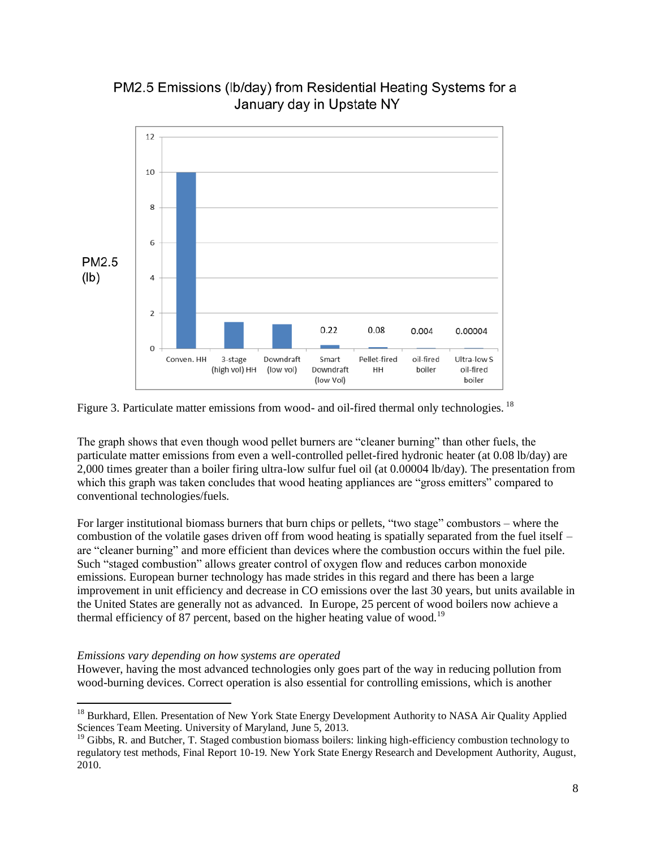



Figure 3. Particulate matter emissions from wood- and oil-fired thermal only technologies. <sup>18</sup>

The graph shows that even though wood pellet burners are "cleaner burning" than other fuels, the particulate matter emissions from even a well-controlled pellet-fired hydronic heater (at 0.08 lb/day) are 2,000 times greater than a boiler firing ultra-low sulfur fuel oil (at 0.00004 lb/day). The presentation from which this graph was taken concludes that wood heating appliances are "gross emitters" compared to conventional technologies/fuels.

For larger institutional biomass burners that burn chips or pellets, "two stage" combustors – where the combustion of the volatile gases driven off from wood heating is spatially separated from the fuel itself – are "cleaner burning" and more efficient than devices where the combustion occurs within the fuel pile. Such "staged combustion" allows greater control of oxygen flow and reduces carbon monoxide emissions. European burner technology has made strides in this regard and there has been a large improvement in unit efficiency and decrease in CO emissions over the last 30 years, but units available in the United States are generally not as advanced. In Europe, 25 percent of wood boilers now achieve a thermal efficiency of 87 percent, based on the higher heating value of wood.<sup>19</sup>

# <span id="page-7-0"></span>*Emissions vary depending on how systems are operated*

 $\overline{a}$ 

However, having the most advanced technologies only goes part of the way in reducing pollution from wood-burning devices. Correct operation is also essential for controlling emissions, which is another

<sup>&</sup>lt;sup>18</sup> Burkhard, Ellen. Presentation of New York State Energy Development Authority to NASA Air Quality Applied Sciences Team Meeting. University of Maryland, June 5, 2013.

<sup>&</sup>lt;sup>19</sup> Gibbs, R. and Butcher, T. Staged combustion biomass boilers: linking high-efficiency combustion technology to regulatory test methods, Final Report 10-19. New York State Energy Research and Development Authority, August, 2010.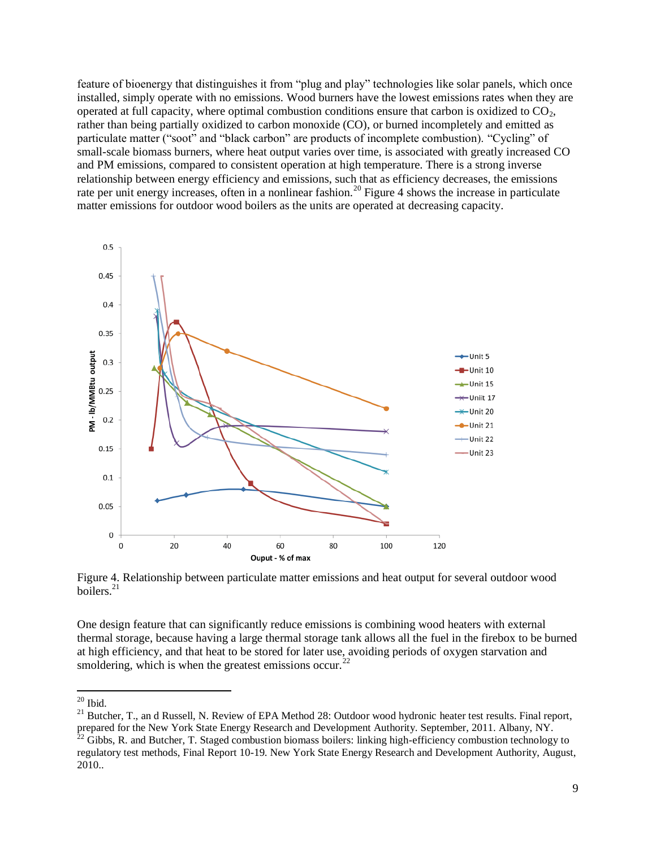feature of bioenergy that distinguishes it from "plug and play" technologies like solar panels, which once installed, simply operate with no emissions. Wood burners have the lowest emissions rates when they are operated at full capacity, where optimal combustion conditions ensure that carbon is oxidized to  $CO<sub>2</sub>$ , rather than being partially oxidized to carbon monoxide (CO), or burned incompletely and emitted as particulate matter ("soot" and "black carbon" are products of incomplete combustion). "Cycling" of small-scale biomass burners, where heat output varies over time, is associated with greatly increased CO and PM emissions, compared to consistent operation at high temperature. There is a strong inverse relationship between energy efficiency and emissions, such that as efficiency decreases, the emissions rate per unit energy increases, often in a nonlinear fashion.<sup>20</sup> Figure 4 shows the increase in particulate matter emissions for outdoor wood boilers as the units are operated at decreasing capacity.



Figure 4. Relationship between particulate matter emissions and heat output for several outdoor wood boilers.<sup>21</sup>

One design feature that can significantly reduce emissions is combining wood heaters with external thermal storage, because having a large thermal storage tank allows all the fuel in the firebox to be burned at high efficiency, and that heat to be stored for later use, avoiding periods of oxygen starvation and smoldering, which is when the greatest emissions occur.<sup>22</sup>

 $\overline{a}$  $20$  Ibid.

<sup>&</sup>lt;sup>21</sup> Butcher, T., an d Russell, N. Review of EPA Method 28: Outdoor wood hydronic heater test results. Final report, prepared for the New York State Energy Research and Development Authority. September, 2011. Albany, NY.

 $^{22}$  Gibbs, R. and Butcher, T. Staged combustion biomass boilers: linking high-efficiency combustion technology to regulatory test methods, Final Report 10-19. New York State Energy Research and Development Authority, August, 2010..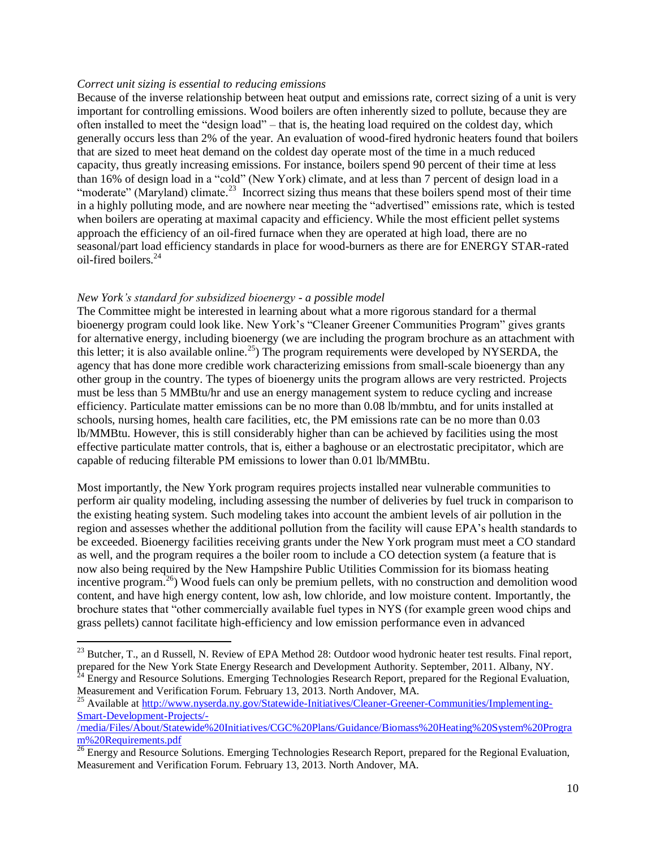#### <span id="page-9-0"></span>*Correct unit sizing is essential to reducing emissions*

Because of the inverse relationship between heat output and emissions rate, correct sizing of a unit is very important for controlling emissions. Wood boilers are often inherently sized to pollute, because they are often installed to meet the "design load" – that is, the heating load required on the coldest day, which generally occurs less than 2% of the year. An evaluation of wood-fired hydronic heaters found that boilers that are sized to meet heat demand on the coldest day operate most of the time in a much reduced capacity, thus greatly increasing emissions. For instance, boilers spend 90 percent of their time at less than 16% of design load in a "cold" (New York) climate, and at less than 7 percent of design load in a "moderate" (Maryland) climate.<sup>23</sup> Incorrect sizing thus means that these boilers spend most of their time in a highly polluting mode, and are nowhere near meeting the "advertised" emissions rate, which is tested when boilers are operating at maximal capacity and efficiency. While the most efficient pellet systems approach the efficiency of an oil-fired furnace when they are operated at high load, there are no seasonal/part load efficiency standards in place for wood-burners as there are for ENERGY STAR-rated oil-fired boilers.<sup>24</sup>

#### <span id="page-9-1"></span>*New York's standard for subsidized bioenergy - a possible model*

 $\overline{a}$ 

The Committee might be interested in learning about what a more rigorous standard for a thermal bioenergy program could look like. New York's "Cleaner Greener Communities Program" gives grants for alternative energy, including bioenergy (we are including the program brochure as an attachment with this letter; it is also available online.<sup>25</sup>) The program requirements were developed by NYSERDA, the agency that has done more credible work characterizing emissions from small-scale bioenergy than any other group in the country. The types of bioenergy units the program allows are very restricted. Projects must be less than 5 MMBtu/hr and use an energy management system to reduce cycling and increase efficiency. Particulate matter emissions can be no more than 0.08 lb/mmbtu, and for units installed at schools, nursing homes, health care facilities, etc, the PM emissions rate can be no more than 0.03 lb/MMBtu. However, this is still considerably higher than can be achieved by facilities using the most effective particulate matter controls, that is, either a baghouse or an electrostatic precipitator, which are capable of reducing filterable PM emissions to lower than 0.01 lb/MMBtu.

Most importantly, the New York program requires projects installed near vulnerable communities to perform air quality modeling, including assessing the number of deliveries by fuel truck in comparison to the existing heating system. Such modeling takes into account the ambient levels of air pollution in the region and assesses whether the additional pollution from the facility will cause EPA's health standards to be exceeded. Bioenergy facilities receiving grants under the New York program must meet a CO standard as well, and the program requires a the boiler room to include a CO detection system (a feature that is now also being required by the New Hampshire Public Utilities Commission for its biomass heating incentive program.<sup>26</sup>) Wood fuels can only be premium pellets, with no construction and demolition wood content, and have high energy content, low ash, low chloride, and low moisture content. Importantly, the brochure states that "other commercially available fuel types in NYS (for example green wood chips and grass pellets) cannot facilitate high-efficiency and low emission performance even in advanced

<sup>&</sup>lt;sup>23</sup> Butcher, T., an d Russell, N. Review of EPA Method 28: Outdoor wood hydronic heater test results. Final report, prepared for the New York State Energy Research and Development Authority. September, 2011. Albany, NY.

Energy and Resource Solutions. Emerging Technologies Research Report, prepared for the Regional Evaluation, Measurement and Verification Forum. February 13, 2013. North Andover, MA.

<sup>&</sup>lt;sup>25</sup> Available at [http://www.nyserda.ny.gov/Statewide-Initiatives/Cleaner-Greener-Communities/Implementing-](http://www.nyserda.ny.gov/Statewide-Initiatives/Cleaner-Greener-Communities/Implementing-Smart-Development-Projects/-/media/Files/About/Statewide%20Initiatives/CGC%20Plans/Guidance/Biomass%20Heating%20System%20Program%20Requirements.pdf)[Smart-Development-Projects/-](http://www.nyserda.ny.gov/Statewide-Initiatives/Cleaner-Greener-Communities/Implementing-Smart-Development-Projects/-/media/Files/About/Statewide%20Initiatives/CGC%20Plans/Guidance/Biomass%20Heating%20System%20Program%20Requirements.pdf)

[<sup>/</sup>media/Files/About/Statewide%20Initiatives/CGC%20Plans/Guidance/Biomass%20Heating%20System%20Progra](http://www.nyserda.ny.gov/Statewide-Initiatives/Cleaner-Greener-Communities/Implementing-Smart-Development-Projects/-/media/Files/About/Statewide%20Initiatives/CGC%20Plans/Guidance/Biomass%20Heating%20System%20Program%20Requirements.pdf) [m%20Requirements.pdf](http://www.nyserda.ny.gov/Statewide-Initiatives/Cleaner-Greener-Communities/Implementing-Smart-Development-Projects/-/media/Files/About/Statewide%20Initiatives/CGC%20Plans/Guidance/Biomass%20Heating%20System%20Program%20Requirements.pdf)

<sup>&</sup>lt;sup>26</sup> Energy and Resource Solutions. Emerging Technologies Research Report, prepared for the Regional Evaluation, Measurement and Verification Forum. February 13, 2013. North Andover, MA.